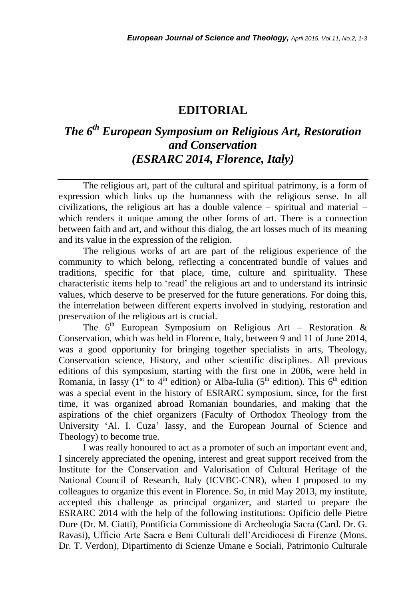## **EDITORIAL**

## *The 6 th European Symposium on Religious Art, Restoration and Conservation (ESRARC 2014, Florence, Italy)*

The religious art, part of the cultural and spiritual patrimony, is a form of expression which links up the humanness with the religious sense. In all civilizations, the religious art has a double valence – spiritual and material – which renders it unique among the other forms of art. There is a connection between faith and art, and without this dialog, the art losses much of its meaning and its value in the expression of the religion.

The religious works of art are part of the religious experience of the community to which belong, reflecting a concentrated bundle of values and traditions, specific for that place, time, culture and spirituality. These characteristic items help to 'read' the religious art and to understand its intrinsic values, which deserve to be preserved for the future generations. For doing this, the interrelation between different experts involved in studying, restoration and preservation of the religious art is crucial.

The  $6<sup>th</sup>$  European Symposium on Religious Art – Restoration & Conservation, which was held in Florence, Italy, between 9 and 11 of June 2014, was a good opportunity for bringing together specialists in arts, Theology, Conservation science, History, and other scientific disciplines. All previous editions of this symposium, starting with the first one in 2006, were held in Romania, in Iassy ( $1^{st}$  to  $4^{th}$  edition) or Alba-Iulia ( $5^{th}$  edition). This  $6^{th}$  edition was a special event in the history of ESRARC symposium, since, for the first time, it was organized abroad Romanian boundaries, and making that the aspirations of the chief organizers (Faculty of Orthodox Theology from the University 'Al. I. Cuza' Iassy, and the European Journal of Science and Theology) to become true.

I was really honoured to act as a promoter of such an important event and, I sincerely appreciated the opening, interest and great support received from the Institute for the Conservation and Valorisation of Cultural Heritage of the National Council of Research, Italy (ICVBC-CNR), when I proposed to my colleagues to organize this event in Florence. So, in mid May 2013, my institute, accepted this challenge as principal organizer, and started to prepare the ESRARC 2014 with the help of the following institutions: Opificio delle Pietre Dure (Dr. M. Ciatti), Pontificia Commissione di Archeologia Sacra (Card. Dr. G. Ravasi), Ufficio Arte Sacra e Beni Culturali dell'Arcidiocesi di Firenze (Mons. Dr. T. Verdon), Dipartimento di Scienze Umane e Sociali, Patrimonio Culturale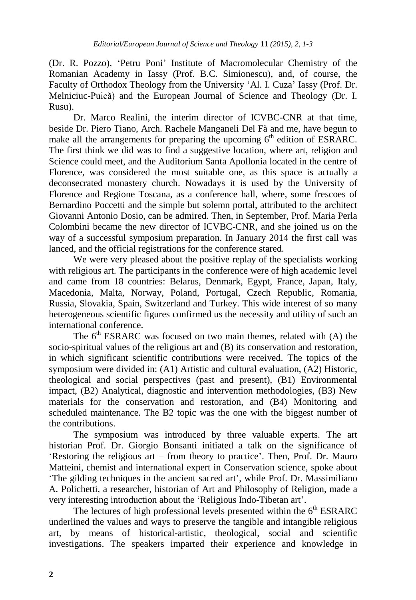(Dr. R. Pozzo), 'Petru Poni' Institute of Macromolecular Chemistry of the Romanian Academy in Iassy (Prof. B.C. Simionescu), and, of course, the Faculty of Orthodox Theology from the University 'Al. I. Cuza' Iassy (Prof. Dr. Melniciuc-Puică) and the European Journal of Science and Theology (Dr. I. Rusu).

Dr. Marco Realini, the interim director of ICVBC-CNR at that time, beside Dr. Piero Tiano, Arch. Rachele Manganeli Del Fà and me, have begun to make all the arrangements for preparing the upcoming  $6<sup>th</sup>$  edition of ESRARC. The first think we did was to find a suggestive location, where art, religion and Science could meet, and the Auditorium Santa Apollonia located in the centre of Florence, was considered the most suitable one, as this space is actually a deconsecrated monastery church. Nowadays it is used by the University of Florence and Regione Toscana, as a conference hall, where, some frescoes of Bernardino Poccetti and the simple but solemn portal, attributed to the architect Giovanni Antonio Dosio, can be admired. Then, in September, Prof. Maria Perla Colombini became the new director of ICVBC-CNR, and she joined us on the way of a successful symposium preparation. In January 2014 the first call was lanced, and the official registrations for the conference stared.

We were very pleased about the positive replay of the specialists working with religious art. The participants in the conference were of high academic level and came from 18 countries: Belarus, Denmark, Egypt, France, Japan, Italy, Macedonia, Malta, Norway, Poland, Portugal, Czech Republic, Romania, Russia, Slovakia, Spain, Switzerland and Turkey. This wide interest of so many heterogeneous scientific figures confirmed us the necessity and utility of such an international conference.

The  $6<sup>th</sup> ESRARC$  was focused on two main themes, related with (A) the socio-spiritual values of the religious art and (B) its conservation and restoration, in which significant scientific contributions were received. The topics of the symposium were divided in: (A1) Artistic and cultural evaluation, (A2) Historic, theological and social perspectives (past and present), (B1) Environmental impact, (B2) Analytical, diagnostic and intervention methodologies, (B3) New materials for the conservation and restoration, and (B4) Monitoring and scheduled maintenance. The B2 topic was the one with the biggest number of the contributions.

The symposium was introduced by three valuable experts. The art historian Prof. Dr. Giorgio Bonsanti initiated a talk on the significance of 'Restoring the religious art – from theory to practice'. Then, Prof. Dr. Mauro Matteini, chemist and international expert in Conservation science, spoke about 'The gilding techniques in the ancient sacred art', while Prof. Dr. Massimiliano A. Polichetti, a researcher, historian of Art and Philosophy of Religion, made a very interesting introduction about the 'Religious Indo-Tibetan art'.

The lectures of high professional levels presented within the  $6<sup>th</sup> ESRARC$ underlined the values and ways to preserve the tangible and intangible religious art, by means of historical-artistic, theological, social and scientific investigations. The speakers imparted their experience and knowledge in